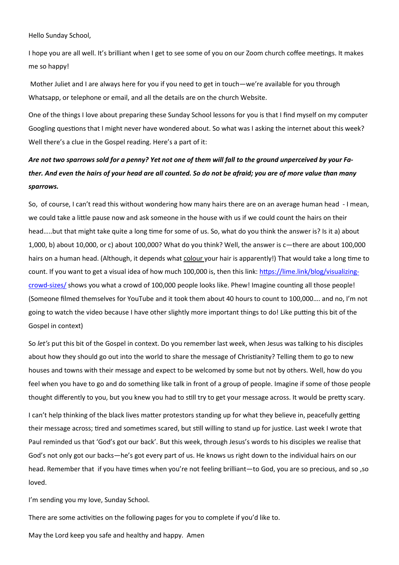Hello Sunday School,

I hope you are all well. It's brilliant when I get to see some of you on our Zoom church coffee meetings. It makes me so happy!

Mother Juliet and I are always here for you if you need to get in touch—we're available for you through Whatsapp, or telephone or email, and all the details are on the church Website.

One of the things I love about preparing these Sunday School lessons for you is that I find myself on my computer Googling questions that I might never have wondered about. So what was I asking the internet about this week? Well there's a clue in the Gospel reading. Here's a part of it:

#### Are not two sparrows sold for a penny? Yet not one of them will fall to the ground unperceived by your Father. And even the hairs of your head are all counted. So do not be afraid; you are of more value than many sparrows.

So, of course, I can't read this without wondering how many hairs there are on an average human head - I mean, we could take a little pause now and ask someone in the house with us if we could count the hairs on their head…..but that might take quite a long time for some of us. So, what do you think the answer is? Is it a) about 1,000, b) about 10,000, or c) about 100,000? What do you think? Well, the answer is c—there are about 100,000 hairs on a human head. (Although, it depends what colour your hair is apparently!) That would take a long time to count. If you want to get a visual idea of how much 100,000 is, then this link: https://lime.link/blog/visualizingcrowd-sizes/ shows you what a crowd of 100,000 people looks like. Phew! Imagine counting all those people! (Someone filmed themselves for YouTube and it took them about 40 hours to count to 100,000…. and no, I'm not going to watch the video because I have other slightly more important things to do! Like putting this bit of the Gospel in context)

So let's put this bit of the Gospel in context. Do you remember last week, when Jesus was talking to his disciples about how they should go out into the world to share the message of Christianity? Telling them to go to new houses and towns with their message and expect to be welcomed by some but not by others. Well, how do you feel when you have to go and do something like talk in front of a group of people. Imagine if some of those people thought differently to you, but you knew you had to still try to get your message across. It would be pretty scary.

I can't help thinking of the black lives matter protestors standing up for what they believe in, peacefully getting their message across; tired and sometimes scared, but still willing to stand up for justice. Last week I wrote that Paul reminded us that 'God's got our back'. But this week, through Jesus's words to his disciples we realise that God's not only got our backs—he's got every part of us. He knows us right down to the individual hairs on our head. Remember that if you have times when you're not feeling brilliant—to God, you are so precious, and so ,so loved.

I'm sending you my love, Sunday School.

There are some activities on the following pages for you to complete if you'd like to.

May the Lord keep you safe and healthy and happy. Amen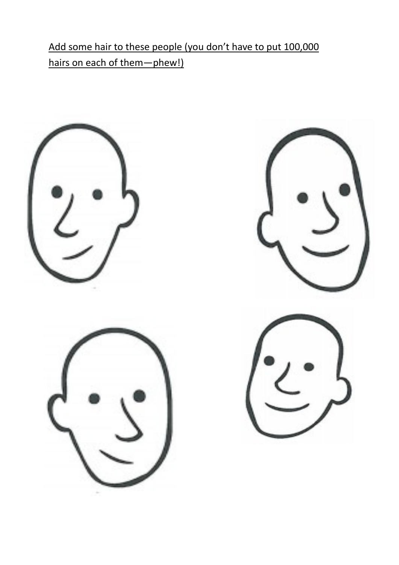Add some hair to these people (you don't have to put 100,000 hairs on each of them-phew!)

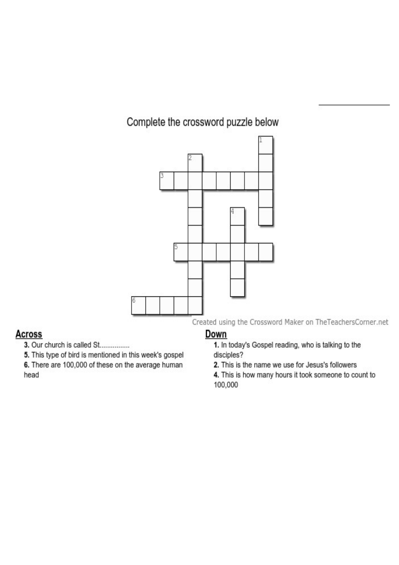## Complete the crossword puzzle below



### **Across**

3. Our church is called St................

5. This type of bird is mentioned in this week's gospel

6. There are 100,000 of these on the average human head

### <u>Down</u>

1. In today's Gospel reading, who is talking to the disciples?

2. This is the name we use for Jesus's followers

4. This is how many hours it took someone to count to 100,000